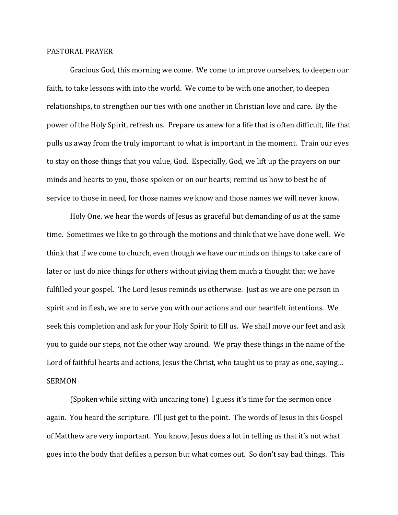## PASTORAL PRAYER

 Gracious God, this morning we come. We come to improve ourselves, to deepen our faith, to take lessons with into the world. We come to be with one another, to deepen relationships, to strengthen our ties with one another in Christian love and care. By the power of the Holy Spirit, refresh us. Prepare us anew for a life that is often difficult, life that pulls us away from the truly important to what is important in the moment. Train our eyes to stay on those things that you value, God. Especially, God, we lift up the prayers on our minds and hearts to you, those spoken or on our hearts; remind us how to best be of service to those in need, for those names we know and those names we will never know.

 Holy One, we hear the words of Jesus as graceful but demanding of us at the same time. Sometimes we like to go through the motions and think that we have done well. We think that if we come to church, even though we have our minds on things to take care of later or just do nice things for others without giving them much a thought that we have fulfilled your gospel. The Lord Jesus reminds us otherwise. Just as we are one person in spirit and in flesh, we are to serve you with our actions and our heartfelt intentions. We seek this completion and ask for your Holy Spirit to fill us. We shall move our feet and ask you to guide our steps, not the other way around. We pray these things in the name of the Lord of faithful hearts and actions, Jesus the Christ, who taught us to pray as one, saying... SERMON

 (Spoken while sitting with uncaring tone) I guess it's time for the sermon once again. You heard the scripture. I'll just get to the point. The words of Jesus in this Gospel of Matthew are very important. You know, Jesus does a lot in telling us that it's not what goes into the body that defiles a person but what comes out. So don't say bad things. This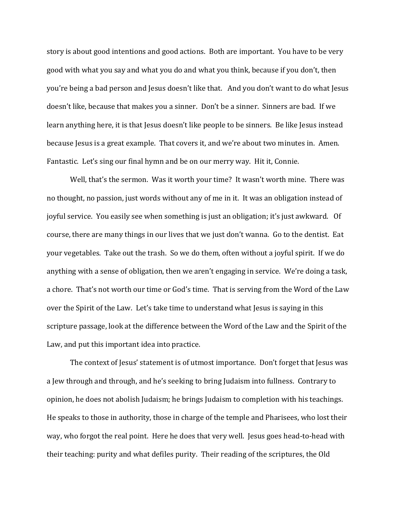story is about good intentions and good actions. Both are important. You have to be very good with what you say and what you do and what you think, because if you don't, then you're being a bad person and Jesus doesn't like that. And you don't want to do what Jesus doesn't like, because that makes you a sinner. Don't be a sinner. Sinners are bad. If we learn anything here, it is that Jesus doesn't like people to be sinners. Be like Jesus instead because Jesus is a great example. That covers it, and we're about two minutes in. Amen. Fantastic. Let's sing our final hymn and be on our merry way. Hit it, Connie.

 Well, that's the sermon. Was it worth your time? It wasn't worth mine. There was no thought, no passion, just words without any of me in it. It was an obligation instead of joyful service. You easily see when something is just an obligation; it's just awkward. Of course, there are many things in our lives that we just don't wanna. Go to the dentist. Eat your vegetables. Take out the trash. So we do them, often without a joyful spirit. If we do anything with a sense of obligation, then we aren't engaging in service. We're doing a task, a chore. That's not worth our time or God's time. That is serving from the Word of the Law over the Spirit of the Law. Let's take time to understand what Jesus is saying in this scripture passage, look at the difference between the Word of the Law and the Spirit of the Law, and put this important idea into practice.

 The context of Jesus' statement is of utmost importance. Don't forget that Jesus was a Jew through and through, and he's seeking to bring Judaism into fullness. Contrary to opinion, he does not abolish Judaism; he brings Judaism to completion with his teachings. He speaks to those in authority, those in charge of the temple and Pharisees, who lost their way, who forgot the real point. Here he does that very well. Jesus goes head-to-head with their teaching: purity and what defiles purity. Their reading of the scriptures, the Old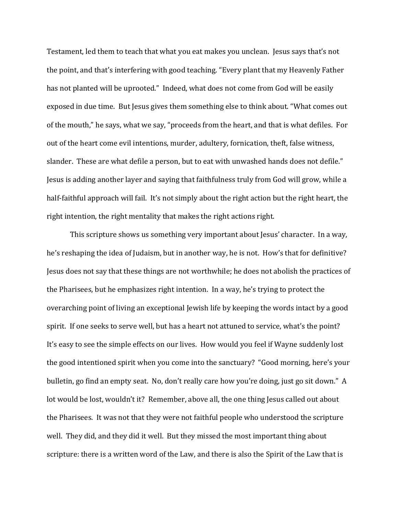Testament, led them to teach that what you eat makes you unclean. Jesus says that's not the point, and that's interfering with good teaching. "Every plant that my Heavenly Father has not planted will be uprooted." Indeed, what does not come from God will be easily exposed in due time. But Jesus gives them something else to think about. "What comes out of the mouth," he says, what we say, "proceeds from the heart, and that is what defiles. For out of the heart come evil intentions, murder, adultery, fornication, theft, false witness, slander. These are what defile a person, but to eat with unwashed hands does not defile." Jesus is adding another layer and saying that faithfulness truly from God will grow, while a half-faithful approach will fail. It's not simply about the right action but the right heart, the right intention, the right mentality that makes the right actions right.

 This scripture shows us something very important about Jesus' character. In a way, he's reshaping the idea of Judaism, but in another way, he is not. How's that for definitive? Jesus does not say that these things are not worthwhile; he does not abolish the practices of the Pharisees, but he emphasizes right intention. In a way, he's trying to protect the overarching point of living an exceptional Jewish life by keeping the words intact by a good spirit. If one seeks to serve well, but has a heart not attuned to service, what's the point? It's easy to see the simple effects on our lives. How would you feel if Wayne suddenly lost the good intentioned spirit when you come into the sanctuary? "Good morning, here's your bulletin, go find an empty seat. No, don't really care how you're doing, just go sit down." A lot would be lost, wouldn't it? Remember, above all, the one thing Jesus called out about the Pharisees. It was not that they were not faithful people who understood the scripture well. They did, and they did it well. But they missed the most important thing about scripture: there is a written word of the Law, and there is also the Spirit of the Law that is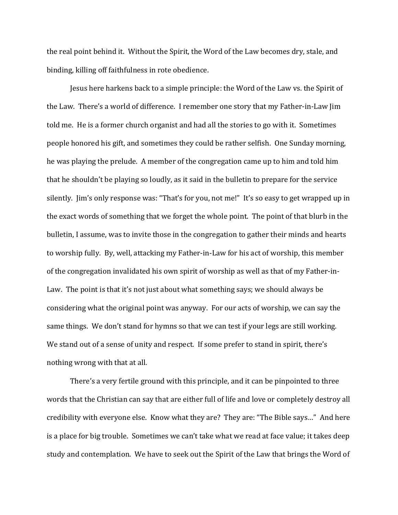the real point behind it. Without the Spirit, the Word of the Law becomes dry, stale, and binding, killing off faithfulness in rote obedience.

 Jesus here harkens back to a simple principle: the Word of the Law vs. the Spirit of the Law. There's a world of difference. I remember one story that my Father-in-Law Jim told me. He is a former church organist and had all the stories to go with it. Sometimes people honored his gift, and sometimes they could be rather selfish. One Sunday morning, he was playing the prelude. A member of the congregation came up to him and told him that he shouldn't be playing so loudly, as it said in the bulletin to prepare for the service silently. Jim's only response was: "That's for you, not me!" It's so easy to get wrapped up in the exact words of something that we forget the whole point. The point of that blurb in the bulletin, I assume, was to invite those in the congregation to gather their minds and hearts to worship fully. By, well, attacking my Father-in-Law for his act of worship, this member of the congregation invalidated his own spirit of worship as well as that of my Father-in-Law. The point is that it's not just about what something says; we should always be considering what the original point was anyway. For our acts of worship, we can say the same things. We don't stand for hymns so that we can test if your legs are still working. We stand out of a sense of unity and respect. If some prefer to stand in spirit, there's nothing wrong with that at all.

 There's a very fertile ground with this principle, and it can be pinpointed to three words that the Christian can say that are either full of life and love or completely destroy all credibility with everyone else. Know what they are? They are: "The Bible says…" And here is a place for big trouble. Sometimes we can't take what we read at face value; it takes deep study and contemplation. We have to seek out the Spirit of the Law that brings the Word of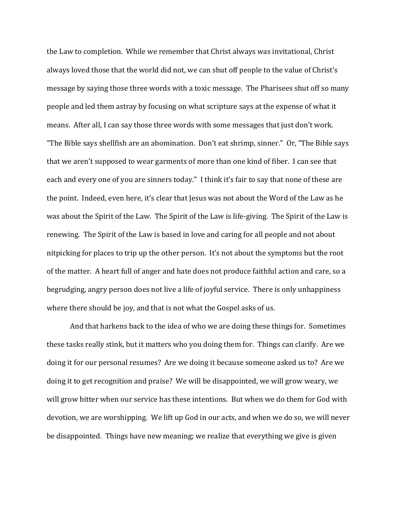the Law to completion. While we remember that Christ always was invitational, Christ always loved those that the world did not, we can shut off people to the value of Christ's message by saying those three words with a toxic message. The Pharisees shut off so many people and led them astray by focusing on what scripture says at the expense of what it means. After all, I can say those three words with some messages that just don't work. "The Bible says shellfish are an abomination. Don't eat shrimp, sinner." Or, "The Bible says that we aren't supposed to wear garments of more than one kind of fiber. I can see that each and every one of you are sinners today." I think it's fair to say that none of these are the point. Indeed, even here, it's clear that Jesus was not about the Word of the Law as he was about the Spirit of the Law. The Spirit of the Law is life-giving. The Spirit of the Law is renewing. The Spirit of the Law is based in love and caring for all people and not about nitpicking for places to trip up the other person. It's not about the symptoms but the root of the matter. A heart full of anger and hate does not produce faithful action and care, so a begrudging, angry person does not live a life of joyful service. There is only unhappiness where there should be joy, and that is not what the Gospel asks of us.

 And that harkens back to the idea of who we are doing these things for. Sometimes these tasks really stink, but it matters who you doing them for. Things can clarify. Are we doing it for our personal resumes? Are we doing it because someone asked us to? Are we doing it to get recognition and praise? We will be disappointed, we will grow weary, we will grow bitter when our service has these intentions. But when we do them for God with devotion, we are worshipping. We lift up God in our acts, and when we do so, we will never be disappointed. Things have new meaning; we realize that everything we give is given